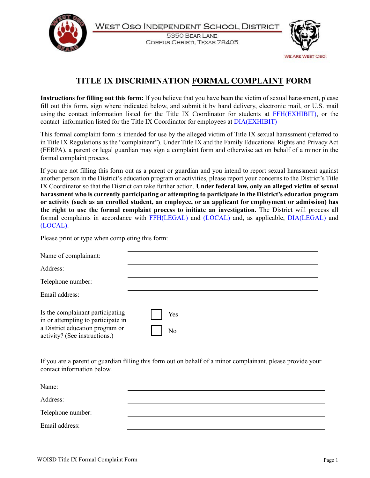

WEST OSO INDEPENDENT SCHOOL DISTRICT

5350 BEAR LANE CORPUS CHRISTI, TEXAS 78405



## **TITLE IX DISCRIMINATION FORMAL COMPLAINT FORM**

**Instructions for filling out this form:** If you believe that you have been the victim of sexual harassment, please fill out this form, sign where indicated below, and submit it by hand delivery, electronic mail, or U.S. mail using the contact information listed for the Title IX Coordinator for students at [FFH\(EXHIBIT\),](https://pol.tasb.org/Policy/Code/957?filter=FFH) or the contact information listed for the Title IX Coordinator for employees at [DIA\(EXHIBIT\)](https://pol.tasb.org/Policy/Code/957?filter=DIA)

This formal complaint form is intended for use by the alleged victim of Title IX sexual harassment (referred to in Title IX Regulations as the "complainant"). Under Title IX and the Family Educational Rights and Privacy Act (FERPA), a parent or legal guardian may sign a complaint form and otherwise act on behalf of a minor in the formal complaint process.

If you are not filling this form out as a parent or guardian and you intend to report sexual harassment against another person in the District's education program or activities, please report your concerns to the District's Title IX Coordinator so that the District can take further action. **Under federal law, only an alleged victim of sexual harassment who is currently participating or attempting to participate in the District's education program or activity (such as an enrolled student, an employee, or an applicant for employment or admission) has the right to use the formal complaint process to initiate an investigation.** The District will process all formal complaints in accordance with [FFH\(LEGAL\)](https://pol.tasb.org/Policy/Code/957?filter=FFH) and [\(LOCAL\)](https://pol.tasb.org/Policy/Code/957?filter=FFH) and, as applicable, [DIA\(LEGAL\)](https://pol.tasb.org/Policy/Code/957?filter=DIA) and [\(LOCAL\)](https://pol.tasb.org/Policy/Code/957?filter=DIA).

Please print or type when completing this form:

| Name of complainant:                                                                                                                       |           |
|--------------------------------------------------------------------------------------------------------------------------------------------|-----------|
| Address:                                                                                                                                   |           |
| Telephone number:                                                                                                                          |           |
| Email address:                                                                                                                             |           |
| Is the complainant participating<br>in or attempting to participate in<br>a District education program or<br>activity? (See instructions.) | Yes<br>No |

If you are a parent or guardian filling this form out on behalf of a minor complainant, please provide your contact information below.

| Name:             |  |
|-------------------|--|
| Address:          |  |
| Telephone number: |  |
| Email address:    |  |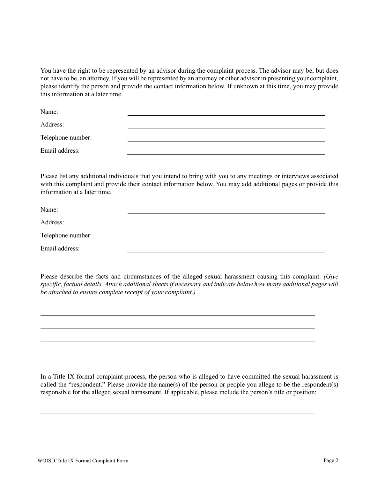You have the right to be represented by an advisor during the complaint process. The advisor may be, but does not have to be, an attorney. If you will be represented by an attorney or other advisor in presenting your complaint, please identify the person and provide the contact information below. If unknown at this time, you may provide this information at a later time.

Name:

Address:

Telephone number:

Email address:

Please list any additional individuals that you intend to bring with you to any meetings or interviews associated with this complaint and provide their contact information below. You may add additional pages or provide this information at a later time.

| Name:             |  |
|-------------------|--|
| Address:          |  |
| Telephone number: |  |
| Email address:    |  |

Please describe the facts and circumstances of the alleged sexual harassment causing this complaint. *(Give specific, factual details. Attach additional sheets if necessary and indicate below how many additional pages will be attached to ensure complete receipt of your complaint.)*

In a Title IX formal complaint process, the person who is alleged to have committed the sexual harassment is called the "respondent." Please provide the name(s) of the person or people you allege to be the respondent(s) responsible for the alleged sexual harassment. If applicable, please include the person's title or position: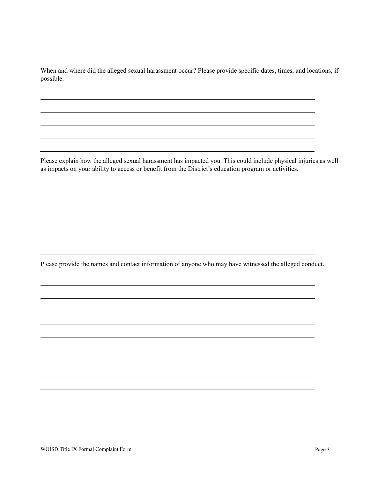When and where did the alleged sexual harassment occur? Please provide specific dates, times, and locations, if possible.

Please explain how the alleged sexual harassment has impacted you. This could include physical injuries as well as impacts on your ability to access or benefit from the District's education program or activities.

Please provide the names and contact information of anyone who may have witnessed the alleged conduct.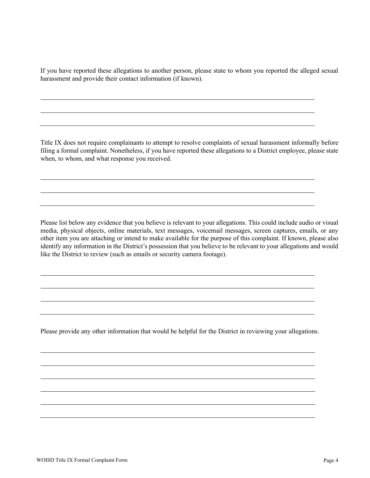If you have reported these allegations to another person, please state to whom you reported the alleged sexual harassment and provide their contact information (if known).

Title IX does not require complainants to attempt to resolve complaints of sexual harassment informally before filing a formal complaint. Nonetheless, if you have reported these allegations to a District employee, please state when, to whom, and what response you received.

Please list below any evidence that you believe is relevant to your allegations. This could include audio or visual media, physical objects, online materials, text messages, voicemail messages, screen captures, emails, or any other item you are attaching or intend to make available for the purpose of this complaint. If known, please also identify any information in the District's possession that you believe to be relevant to your allegations and would like the District to review (such as emails or security camera footage).

Please provide any other information that would be helpful for the District in reviewing your allegations.